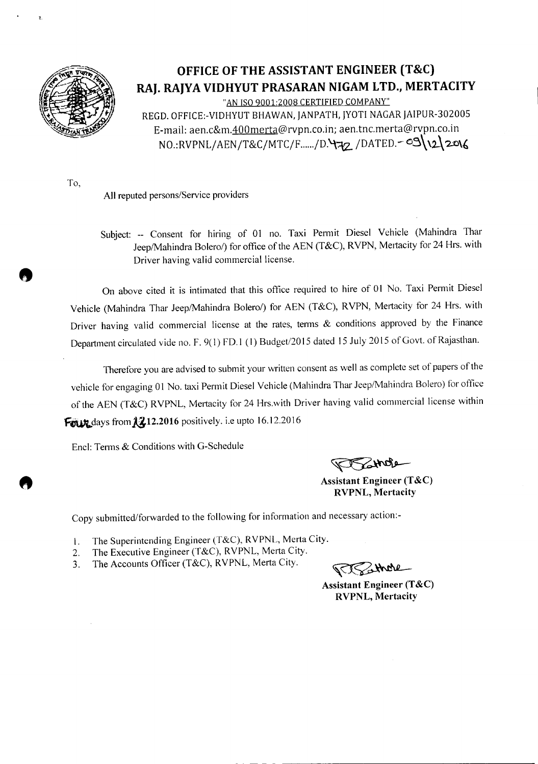

 $\mathbf{r}$ 

## **OFFICE OF THE ASSISTANT ENGINEER (T&C) RAJ. RAJYA VIDHYUT PRASARAN NIGAM LTD., MERTACITY**

"AN ISO 9001:2008 CERTIFIED COMPANY" REGD. OFFICE:-VIDHYUT BHAWAN, JANPATH, JYOTI NAGAR JAIPUR-30200S E-mail: aen.c&m.400merta@rvpn.co.in; aen.tnc.merta@rvpn.co.in  $NO:RVPNL/AEN/T&C/MTC/F...+/D.$ 472/DATED.-09\\2\2016

To,

----- - -- -- -

All reputed persons/Service providers

Subject: -- Consent for hiring of 01 no. Taxi Permit Diesel Vehicle (Mahindra Thar Jeep/Mahindra Bolero/) for office of the AEN (T&C), RVPN, Mertacity for 24 Hrs. with Driver having valid commercial license.

On above cited it is intimated that this office required to hire of 01 No. Taxi Permit Diesel Vehicle (Mahindra Thar Jeep/Mahindra Bolero/) for AEN (T&C), RVPN, Mertacity for 24 Hrs. with Driver having valid commercial license at the rates, terms & conditions approved by the Finance Department circulated vide no. F. 9( 1) FD.I (I) Budget/201S dated *15* July *2015* of Govt. of Rajasthan.

Therefore you are advised to submit your written consent as well as complete set of papers of the vehicle for engaging 01 No. taxi Permit Diesel Vehicle (Mahindra Thar Jeep/Mahindra Bolero) tor office of the AEN (T&C) RVPNL, Mertacity for 24 Hrs.with Driver having valid commercial license within Four days from  $\lambda$  212.2016 positively. i.e upto 16.12.2016

Encl: Terms & Conditions with G-Schedule

Znob

Assistant Engineer (T&C) RVPNL, Mertacity

Copy submitted/forwarded to the following for information and necessary action:-

- 1. The Superintending Engineer (T&C), RVPNL, Merta City.
- 2. The Executive Engineer (T&C), RVPNL, Merta City.
- 3. The Accounts Officer (T&C), RVPNL, Merta City.

Rithole

Assistant Engineer (T&C) RVPNL, Mertacity